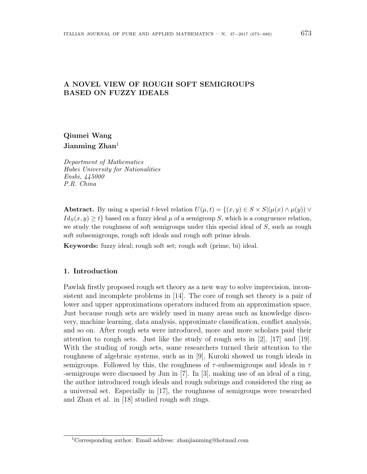## **A NOVEL VIEW OF ROUGH SOFT SEMIGROUPS BASED ON FUZZY IDEALS**

# **Qiumei Wang Jianming Zhan**<sup>1</sup>

*Department of Mathematics Hubei University for Nationalities Enshi, 445000 P.R. China*

**Abstract.** By using a special *t*-level relation  $U(\mu, t) = \{(x, y) \in S \times S | (\mu(x) \wedge \mu(y)) \vee \mu(y) \}$  $Id_S(x, y) \geq t$  based on a fuzzy ideal  $\mu$  of a semigroup *S*, which is a congruence relation, we study the roughness of soft semigroups under this special ideal of *S*, such as rough soft subsemigroups, rough soft ideals and rough soft prime ideals.

**Keywords:** fuzzy ideal; rough soft set; rough soft (prime, bi) ideal.

### **1. Introduction**

Pawlak firstly proposed rough set theory as a new way to solve imprecision, inconsistent and incomplete problems in [14]. The core of rough set theory is a pair of lower and upper approximations operators induced from an approximation space. Just because rough sets are widely used in many areas such as knowledge discovery, machine learning, data analysis, approximate classification, conflict analysis, and so on. After rough sets were introduced, more and more scholars paid their attention to rough sets. Just like the study of rough sets in [2], [17] and [19]. With the studing of rough sets, some researchers turned their attention to the roughness of algebraic systems, such as in [9], Kuroki showed us rough ideals in semigroups. Followed by this, the roughness of *τ* -subsemigroups and ideals in *τ* -semigroups were discussed by Jun in [7]. In [3], making use of an ideal of a ring, the author introduced rough ideals and rough subrings and considered the ring as a universal set. Especially in [17], the roughness of semigroups were researched and Zhan et al. in [18] studied rough soft rings.

<sup>1</sup>Corresponding author. Email address: zhanjianming@hotmail.com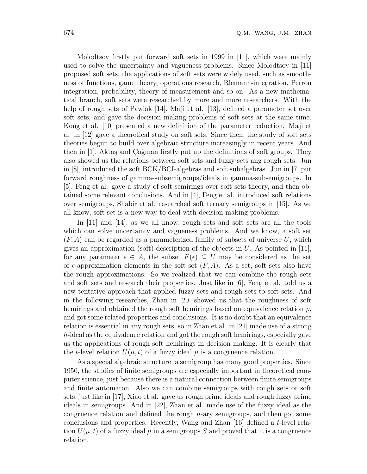Molodtsov firstly put forward soft sets in 1999 in [11], which were mainly used to solve the uncertainty and vagueness problems. Since Molodtsov in [11] proposed soft sets, the applications of soft sets were widely used, such as smoothness of functions, game theory, operations research, Rlemann-integration, Perron integration, probability, theory of measurement and so on. As a new mathematical branch, soft sets were researched by more and more researchers. With the help of rough sets of Pawlak [14], Maji et al. [13], defined a parameter set over soft sets, and gave the decision making problems of soft sets at the same time. Kong et al. [10] presented a new definition of the parameter reduction. Maji et al. in [12] gave a theoretical study on soft sets. Since then, the study of soft sets theories begun to build over algebraic structure increasingly in recent years. And then in  $[1]$ , Aktaş and Cağman firstly put up the definitions of soft groups. They also showed us the relations between soft sets and fuzzy sets ang rough sets. Jun in [8], introduced the soft BCK/BCI-algebras and soft subalgebras. Jun in [7] put forward roughness of gamma-subsemigroups/ideals in gamma-subsemigroups. In [5], Feng et al. gave a study of soft semirings over soft sets theory, and then obtained some relevant conclusions. And in [4], Feng et al. introduced soft relations over semigroups, Shabir et al. researched soft ternary semigroups in [15]. As we all know, soft set is a new way to deal with decision-making problems.

In [11] and [14], as we all know, rough sets and soft sets are all the tools which can solve uncertainty and vagueness problems. And we know, a soft set (*F, A*) can be regarded as a parameterized family of subsets of universe *U*, which gives an approximation (soft) description of the objects in *U*. As pointed in [11], for any parameter  $\epsilon \in A$ , the subset  $F(\epsilon) \subseteq U$  may be considered as the set of  $\epsilon$ -approximation elements in the soft set  $(F, A)$ . As a set, soft sets also have the rough approximations. So we realized that we can combine the rough sets and soft sets and research their properties. Just like in [6], Feng et al. told us a new tentative approach that applied fuzzy sets and rough sets to soft sets. And in the following researches, Zhan in [20] showed us that the roughness of soft hemirings and obtained the rough soft hemirings based on equivalence relation *ρ*, and got some related properties and conclusions. It is no doubt that an equivalence relation is essential in any rough sets, so in Zhan et al. in [21] made use of a strong *h*-ideal as the equivalence relation and got the rough soft hemirings, especially gave us the applications of rough soft hemirings in decision making. It is clearly that the *t*-level relation  $U(\mu, t)$  of a fuzzy ideal  $\mu$  is a congruence relation.

As a special algebraic structure, a semigroup has many good properties. Since 1950, the studies of finite semigroups are especially important in theoretical computer science, just because there is a natural connection between finite semigroups and finite automaton. Also we can combine semigroups with rough sets or soft sets, just like in [17], Xiao et al. gave us rough prime ideals and rough fuzzy prime ideals in semigroups. And in [22], Zhan et al. made use of the fuzzy ideal as the congruence relation and defined the rough *n*-ary semigroups, and then got some conclusions and properties. Recently, Wang and Zhan [16] defined a *t*-level relation  $U(\mu, t)$  of a fuzzy ideal  $\mu$  in a semigroups S and proved that it is a congruence relation.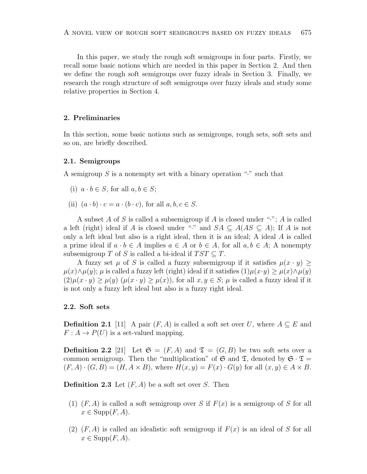In this paper, we study the rough soft semigroups in four parts. Firstly, we recall some basic notions which are needed in this paper in Section 2. And then we define the rough soft semigroups over fuzzy ideals in Section 3. Finally, we research the rough structure of soft semigroups over fuzzy ideals and study some relative properties in Section 4.

### **2. Preliminaries**

In this section, some basic notions such as semigroups, rough sets, soft sets and so on, are briefly described.

#### **2.1. Semigroups**

A semigroup *S* is a nonempty set with a binary operation "*·*" such that

- (i)  $a \cdot b \in S$ , for all  $a, b \in S$ ;
- (ii)  $(a \cdot b) \cdot c = a \cdot (b \cdot c)$ , for all  $a, b, c \in S$ .

A subset *A* of *S* is called a subsemigroup if *A* is closed under "*·*"; *A* is called a left (right) ideal if *A* is closed under "<sup>\*</sup>" and  $SA \subseteq A(AS \subseteq A)$ ; If *A* is not only a left ideal but also is a right ideal, then it is an ideal; A ideal *A* is called a prime ideal if  $a \cdot b \in A$  implies  $a \in A$  or  $b \in A$ , for all  $a, b \in A$ ; A nonempty subsemigroup *T* of *S* is called a bi-ideal if  $TST \subseteq T$ .

A fuzzy set  $\mu$  of *S* is called a fuzzy subsemigroup if it satisfies  $\mu(x \cdot y)$ *µ*(*x*)*∧* $\mu$ (*y*);  $\mu$  is called a fuzzy left (right) ideal if it satisfies  $(1)\mu(x \cdot y) \geq \mu(x) \wedge \mu(y)$  $(2)\mu(x \cdot y) \ge \mu(y)$   $(\mu(x \cdot y) \ge \mu(x))$ , for all  $x, y \in S$ ;  $\mu$  is called a fuzzy ideal if it is not only a fuzzy left ideal but also is a fuzzy right ideal.

## **2.2. Soft sets**

**Definition 2.1** [11] A pair  $(F, A)$  is called a soft set over *U*, where  $A \subseteq E$  and  $F: A \to P(U)$  is a set-valued mapping.

**Definition 2.2** [21] Let  $\mathfrak{S} = (F, A)$  and  $\mathfrak{T} = (G, B)$  be two soft sets over a common semigroup. Then the "multiplication" of  $\mathfrak{S}$  and  $\mathfrak{T}$ , denoted by  $\mathfrak{S} \cdot \mathfrak{T} =$  $(F, A) \cdot (G, B) = (H, A \times B)$ , where  $H(x, y) = F(x) \cdot G(y)$  for all  $(x, y) \in A \times B$ .

**Definition 2.3** Let (*F, A*) be a soft set over *S*. Then

- (1) (*F, A*) is called a soft semigroup over *S* if *F*(*x*) is a semigroup of *S* for all  $x \in \text{Supp}(F, A).$
- (2) (*F, A*) is called an idealistic soft semigroup if *F*(*x*) is an ideal of *S* for all  $x \in \text{Supp}(F, A).$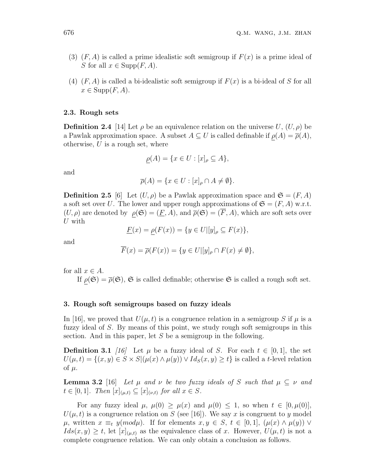- (3) (*F, A*) is called a prime idealistic soft semigroup if *F*(*x*) is a prime ideal of *S* for all  $x \in \text{Supp}(F, A)$ .
- (4) (*F, A*) is called a bi-idealistic soft semigroup if *F*(*x*) is a bi-ideal of *S* for all  $x \in \text{Supp}(F, A).$

### **2.3. Rough sets**

**Definition 2.4** [14] Let  $\rho$  be an equivalence relation on the universe U,  $(U, \rho)$  be a Pawlak approximation space. A subset  $A \subseteq U$  is called definable if  $\rho(A) = \overline{\rho}(A)$ , otherwise, *U* is a rough set, where

$$
\rho(A) = \{ x \in U : [x]_{\rho} \subseteq A \},\
$$

and

$$
\overline{\rho}(A) = \{ x \in U : [x]_{\rho} \cap A \neq \emptyset \}.
$$

**Definition 2.5** [6] Let  $(U, \rho)$  be a Pawlak approximation space and  $\mathfrak{S} = (F, A)$ a soft set over *U*. The lower and upper rough approximations of  $\mathfrak{S} = (F, A)$  w.r.t.  $(U, \rho)$  are denoted by  $\rho(\mathfrak{S}) = (\underline{F}, A)$ , and  $\overline{\rho}(\mathfrak{S}) = (F, A)$ , which are soft sets over *U* with

$$
\underline{F}(x) = \rho(F(x)) = \{ y \in U | [y]_{\rho} \subseteq F(x) \},
$$

and

$$
\overline{F}(x) = \overline{\rho}(F(x)) = \{ y \in U | [y]_{\rho} \cap F(x) \neq \emptyset \},
$$

for all  $x \in A$ .

If  $\rho(\mathfrak{S}) = \overline{\rho}(\mathfrak{S})$ ,  $\mathfrak{S}$  is called definable; otherwise  $\mathfrak{S}$  is called a rough soft set.

#### **3. Rough soft semigroups based on fuzzy ideals**

In [16], we proved that  $U(\mu, t)$  is a congruence relation in a semigroup *S* if  $\mu$  is a fuzzy ideal of *S*. By means of this point, we study rough soft semigroups in this section. And in this paper, let *S* be a semigroup in the following.

**Definition 3.1** *[16]* Let  $\mu$  be a fuzzy ideal of *S*. For each  $t \in [0,1]$ , the set  $U(\mu, t) = \{(x, y) \in S \times S | (\mu(x) \wedge \mu(y)) \vee Id_S(x, y) \geq t\}$  is called a t-level relation of  $\mu$ .

**Lemma 3.2** [16] *Let*  $\mu$  *and*  $\nu$  *be two fuzzy ideals of S such that*  $\mu \subseteq \nu$  *and*  $t \in [0, 1]$ *. Then*  $[x]_{(\mu, t)} \subseteq [x]_{(\nu, t)}$  *for all*  $x \in S$ *.* 

For any fuzzy ideal  $\mu$ ,  $\mu(0) \geq \mu(x)$  and  $\mu(0) \leq 1$ , so when  $t \in [0, \mu(0)]$ ,  $U(\mu, t)$  is a congruence relation on *S* (see [16]). We say *x* is congruent to *y* model  $\mu$ , written  $x \equiv_t y(mod\mu)$ . If for elements  $x, y \in S$ ,  $t \in [0,1]$ ,  $(\mu(x) \wedge \mu(y)) \vee$  $Ids(x, y) \geq t$ , let  $[x]_{(\mu,t)}$  as the equivalence class of *x*. However,  $U(\mu, t)$  is not a complete congruence relation. We can only obtain a conclusion as follows.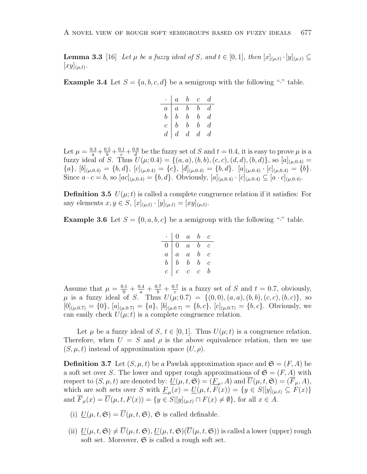**Lemma 3.3** [16] *Let µ be a fuzzy ideal of S, and*  $t \in [0,1]$ *, then*  $[x]_{(\mu,t)} \cdot [y]_{(\mu,t)} \subseteq$  $[xy]_{(\mu,t)}$ .

**Example 3.4** Let  $S = \{a, b, c, d\}$  be a semigroup with the following "<sup>\*</sup>" table.

|   | $a \quad b \quad c$                                                    |                |                  | d,               |
|---|------------------------------------------------------------------------|----------------|------------------|------------------|
|   | $\begin{array}{c cc}\n\cdot & a & b \\ \hline\nb & b & 1\n\end{array}$ |                | $\mathfrak{b}$   | d.               |
|   |                                                                        |                | $\mathfrak{b}^-$ | $\boldsymbol{d}$ |
| c | $\boldsymbol{b}$                                                       | $\overline{b}$ | $\boldsymbol{b}$ | $\overline{d}$   |
|   | $d \mid d \mid d$                                                      |                | d                | d.               |

Let  $\mu = \frac{0.3}{a} + \frac{0.5}{b} + \frac{0.1}{c} + \frac{0.8}{d}$  $\frac{dS}{dt}$  be the fuzzy set of *S* and  $t = 0.4$ , it is easy to prove  $\mu$  is a fuzzy ideal of *S*. Thus  $U(\mu; 0.4) = \{(a, a), (b, b), (c, c), (d, d), (b, d)\},$  so  $[a]_{(\mu, 0.4)} =$  ${a}, [b]_{(\mu,0.4)} = {b}, d, [c]_{(\mu,0.4)} = {c}, [d]_{(\mu,0.4)} = {b}, d. [a]_{(\mu,0.4)} \cdot [c]_{(\mu,0.4)} = {b}.$ Since  $a \cdot c = b$ , so  $[ac]_{(\mu,0.4)} = \{b,d\}$ . Obviously,  $[a]_{(\mu,0.4)} \cdot [c]_{(\mu,0.4)} \subseteq [a \cdot c]_{(\mu,0.4)}$ .

**Definition 3.5**  $U(\mu; t)$  is called a complete congruence relation if it satisfies: For any elements  $x, y \in S$ ,  $[x]_{(\mu,t)} \cdot [y]_{(\mu,t)} = [xy]_{(\mu,t)}$ .

**Example 3.6** Let  $S = \{0, a, b, c\}$  be a semigroup with the following "*·*" table.

|                | $\left( \right)$ | $\overline{a}$ | b | С             |
|----------------|------------------|----------------|---|---------------|
| 0              | 0                | $\overline{a}$ | b | $\mathcal{C}$ |
| $\overline{a}$ | $\overline{a}$   | $\it a$        | b | С             |
| b              | b                | b              | b | С             |
| Ċ              | С                | С              | С | b             |

Assume that  $\mu = \frac{0.1}{0} + \frac{0.4}{a} + \frac{0.7}{b} + \frac{0.7}{c}$  $\frac{17}{c}$  is a fuzzy set of *S* and  $t = 0.7$ , obviously,  $\mu$  is a fuzzy ideal of *S*. Thus  $U(\mu; 0.7) = \{(0,0), (a, a), (b, b), (c, c), (b, c)\},$  so  $[0]_{(\mu,0.7)} = \{0\}, [a]_{(\mu,0.7)} = \{a\}, [b]_{(\mu,0.7)} = \{b,c\}, [c]_{(\mu,0.7)} = \{b,c\}.$  Obviously, we can easily check  $U(\mu; t)$  is a complete congruence relation.

Let  $\mu$  be a fuzzy ideal of *S*,  $t \in [0, 1]$ . Thus  $U(\mu; t)$  is a congruence relation. Therefore, when  $U = S$  and  $\rho$  is the above equivalence relation, then we use  $(S, \mu, t)$  instead of approximation space  $(U, \rho)$ .

**Definition 3.7** Let  $(S, \mu, t)$  be a Pawlak approximation space and  $\mathfrak{S} = (F, A)$  be a soft set over *S*. The lower and upper rough approximations of  $\mathfrak{S} = (F, A)$  with respect to  $(S, \mu, t)$  are denoted by:  $\underline{U}(\mu, t, \mathfrak{S}) = (\underline{F}_{\mu}, A)$  and  $U(\mu, t, \mathfrak{S}) = (F_{\mu}, A)$ , which are soft sets over *S* with  $\underline{F}_{\mu}(x) = \underline{U}(\mu, t, F(x)) = \{y \in S | [y]_{(\mu, t)} \subseteq F(x)\}\$ and  $\overline{F}_{\mu}(x) = \overline{U}(\mu, t, F(x)) = \{y \in S | [y]_{(\mu, t)} \cap F(x) \neq \emptyset\}$ , for all  $x \in A$ .

- (i)  $U(\mu, t, \mathfrak{S}) = \overline{U}(\mu, t, \mathfrak{S}), \mathfrak{S}$  is called definable.
- (ii)  $\underline{U}(\mu, t, \mathfrak{S}) \neq \overline{U}(\mu, t, \mathfrak{S}), \underline{U}(\mu, t, \mathfrak{S})(\overline{U}(\mu, t, \mathfrak{S}))$  is called a lower (upper) rough soft set. Moreover,  $\mathfrak S$  is called a rough soft set.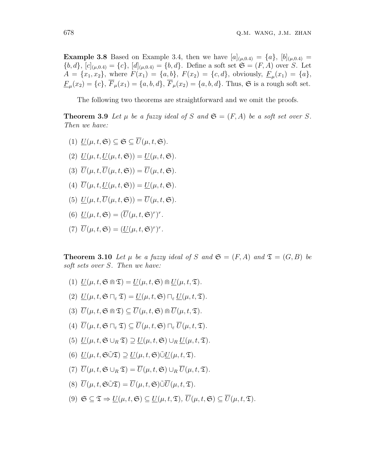**Example 3.8** Based on Example 3.4, then we have  $[a]_{(\mu,0.4)} = \{a\}$ ,  $[b]_{(\mu,0.4)} =$  ${b, d}$ ,  ${c|_{(\mu,0.4)}} = {c}$ ,  ${d|_{(\mu,0.4)}} = {b, d}$ . Define a soft set  $\mathfrak{S} = (F, A)$  over *S*. Let  $A = \{x_1, x_2\}$ , where  $F(x_1) = \{a, b\}$ ,  $F(x_2) = \{c, d\}$ , obviously,  $\underline{F}_{\mu}(x_1) = \{a\}$ ,  $\underline{F}_{\mu}(x_2) = \{c\}, F_{\mu}(x_1) = \{a, b, d\}, F_{\mu}(x_2) = \{a, b, d\}.$  Thus,  $\mathfrak{S}$  is a rough soft set.

The following two theorems are straightforward and we omit the proofs.

**Theorem 3.9** Let  $\mu$  be a fuzzy ideal of  $S$  and  $\mathfrak{S} = (F, A)$  be a soft set over  $S$ . *Then we have:*

- $(U|U(\mu, t, \mathfrak{S}) \subseteq \mathfrak{S} \subseteq \overline{U}(\mu, t, \mathfrak{S}).$
- (2)  $U(\mu, t, U(\mu, t, \mathfrak{S})) = U(\mu, t, \mathfrak{S}).$
- (3)  $\overline{U}(\mu, t, \overline{U}(\mu, t, \mathfrak{S})) = \overline{U}(\mu, t, \mathfrak{S}).$
- (4)  $\overline{U}(\mu, t, U(\mu, t, \mathfrak{S})) = U(\mu, t, \mathfrak{S}).$
- (5)  $U(\mu, t, \overline{U}(\mu, t, \mathfrak{S})) = \overline{U}(\mu, t, \mathfrak{S}).$
- (6)  $\underline{U}(\mu, t, \mathfrak{S}) = (\overline{U}(\mu, t, \mathfrak{S})^r)^r$ .
- (7)  $\overline{U}(\mu, t, \mathfrak{S}) = (\underline{U}(\mu, t, \mathfrak{S})^r)^r$ .

**Theorem 3.10** Let  $\mu$  be a fuzzy ideal of S and  $\mathfrak{S} = (F, A)$  and  $\mathfrak{T} = (G, B)$  be *soft sets over S. Then we have:*

- $(U(1) \underline{U}(\mu, t, \mathfrak{S} \mathfrak{m} \mathfrak{T}) = \underline{U}(\mu, t, \mathfrak{S}) \mathfrak{m} U(\mu, t, \mathfrak{T}).$
- $U(2)$   $U(\mu, t, \mathfrak{S} \sqcap_{\varepsilon} \mathfrak{T}) = U(\mu, t, \mathfrak{S}) \sqcap_{\varepsilon} U(\mu, t, \mathfrak{T}).$
- $(\overline{3}) \ \overline{U}(\mu, t, \mathfrak{S} \cap \mathfrak{T}) \subset \overline{U}(\mu, t, \mathfrak{S}) \cap \overline{U}(\mu, t, \mathfrak{T}).$
- $\overline{U}(u, t, \mathfrak{S} \sqcap_{\varepsilon} \mathfrak{T}) \subset \overline{U}(u, t, \mathfrak{S}) \sqcap_{\varepsilon} \overline{U}(u, t, \mathfrak{T})$ .
- (5)  $U(\mu, t, \mathfrak{S} \cup_R \mathfrak{T}) \supset U(\mu, t, \mathfrak{S}) \cup_R U(\mu, t, \mathfrak{T})$ .
- $U(0, t, \mathfrak{S} \tilde{\cup} \mathfrak{T}) \supseteq U(\mu, t, \mathfrak{S}) \tilde{\cup} U(\mu, t, \mathfrak{T}).$
- $(\mathcal{T}) \ \overline{U}(\mu, t, \mathfrak{S} \cup_R \mathfrak{T}) = \overline{U}(\mu, t, \mathfrak{S}) \cup_R \overline{U}(\mu, t, \mathfrak{T}).$
- $(\mathcal{S}) \ \overline{U}(\mu, t, \mathfrak{S} \tilde{\cup} \mathfrak{T}) = \overline{U}(\mu, t, \mathfrak{S}) \tilde{\cup} \overline{U}(\mu, t, \mathfrak{T}).$
- $(9)$   $\mathfrak{S} \subset \mathfrak{T} \Rightarrow U(\mu, t, \mathfrak{S}) \subset U(\mu, t, \mathfrak{T}), \overline{U}(\mu, t, \mathfrak{S}) \subset \overline{U}(\mu, t, \mathfrak{T}).$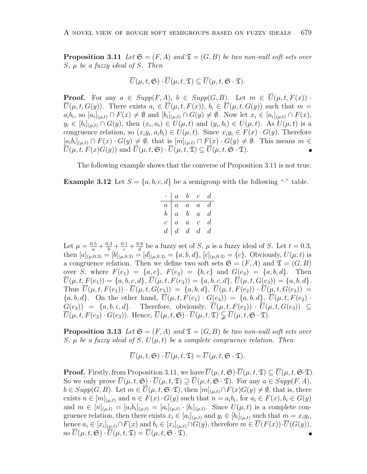**Proposition 3.11** Let  $\mathfrak{S} = (F, A)$  and  $\mathfrak{T} = (G, B)$  be two non-null soft sets over *S, µ be a fuzzy ideal of S. Then*

$$
\overline{U}(\mu, t, \mathfrak{S}) \cdot \overline{U}(\mu, t, \mathfrak{T}) \subseteq \overline{U}(\mu, t, \mathfrak{S} \cdot \mathfrak{T}).
$$

**Proof.** For any  $a \in Supp(F, A), b \in Supp(G, B)$ . Let  $m \in \overline{U}(\mu, t, F(x))$ .  $\overline{U}(\mu, t, G(y))$ . There exists  $a_i \in \overline{U}(\mu, t, F(x))$ ,  $b_i \in \overline{U}(\mu, t, G(y))$  such that  $m =$  $a_i b_i$ , so  $[a_i]_{(\mu,t)} \cap F(x) \neq \emptyset$  and  $[b_i]_{(\mu,t)} \cap G(y) \neq \emptyset$ . Now let  $x_i \in [a_i]_{(\mu,t)} \cap F(x)$ ,  $y_i \in [b_i]_{(\mu,t)} \cap G(y)$ , then  $(x_i, a_i) \in U(\mu, t)$  and  $(y_i, b_i) \in U(\mu, t)$ . As  $U(\mu, t)$  is a congruence relation, so  $(x_i y_i, a_i b_i) \in U(\mu, t)$ . Since  $x_i y_i \in F(x) \cdot G(y)$ , Therefore  $[a_i b_i]_{(\mu,t)} \cap F(x) \cdot G(y) \neq \emptyset$ , that is  $[m]_{(\mu,t)} \cap F(x) \cdot G(y) \neq \emptyset$ . This means  $m \in$  $\overline{U}(\mu, t, F(x)G(y))$  and  $\overline{U}(\mu, t, \mathfrak{S}) \cdot \overline{U}(\mu, t, \mathfrak{S}) \subseteq \overline{U}(\mu, t, \mathfrak{S} \cdot \mathfrak{D}).$ 

The following example shows that the converse of Proposition 3.11 is not true.

**Example 3.12** Let  $S = \{a, b, c, d\}$  be a semigroup with the following "*'*" table.

|                  | $\overline{a}$   | $\boldsymbol{b}$  | $\mathcal{C}$    | d              |
|------------------|------------------|-------------------|------------------|----------------|
| $\boldsymbol{a}$ | $\boldsymbol{a}$ | $\boldsymbol{a}$  | $\overline{a}$   | $\it d$        |
| $\boldsymbol{b}$ | $\boldsymbol{a}$ | $\boldsymbol{b}$  | $\overline{a}$   | $\overline{d}$ |
| $\overline{c}$   | $\overline{a}$   | $\overline{a}$    | $\boldsymbol{c}$ | $\it d$        |
| $\overline{d}$   | d                | $d_{\mathcal{A}}$ | d                | d              |

Let  $\mu = \frac{0.5}{a} + \frac{0.3}{b} + \frac{0.1}{c} + \frac{0.8}{d}$  $\frac{0.8}{d}$  be a fuzzy set of *S*,  $\mu$  is a fuzzy ideal of *S*. Let  $t = 0.3$ , then  $[a]_{(\mu,0.3)} = [b]_{(\mu,0.3)} = [d]_{(\mu,0.3)} = \{a,b,d\}, [c]_{(\mu,0.3)} = \{c\}.$  Obviously,  $U(\mu;t)$  is a congruence relation. Then we define two soft sets  $\mathfrak{S} = (F, A)$  and  $\mathfrak{T} = (G, B)$ over *S*, where  $F(e_1) = \{a, c\}$ ,  $F(e_2) = \{b, c\}$  and  $G(e_3) = \{a, b, d\}$ . Then  $\overline{U}(\mu, t, F(e_1)) = \{a, b, c, d\}, \overline{U}(\mu, t, F(e_2)) = \{a, b, c, d\}, \overline{U}(\mu, t, G(e_3)) = \{a, b, d\}.$ Thus  $\overline{U}(\mu, t, F(e_1)) \cdot \overline{U}(\mu, t, G(e_3)) = \{a, b, d\}, \ \overline{U}(\mu, t, F(e_2)) \cdot \overline{U}(\mu, t, G(e_3)) =$  ${a, b, d}$ . On the other hand,  $\overline{U}(\mu, t, F(e_1) \cdot G(e_3)) = {a, b, d}$ ,  $\overline{U}(\mu, t, F(e_2) \cdot G(e_4)) = {a, b, d}$  $G(e_3)$  =  $\{a, b, c, d\}$ . Therefore, obviously,  $\overline{U}(\mu, t, F(e_2)) \cdot \overline{U}(\mu, t, G(e_3)) \subseteq$  $\overline{U}(\mu, t, F(e_2) \cdot G(e_3))$ . Hence,  $\overline{U}(\mu, t, \mathfrak{S}) \cdot \overline{U}(\mu, t, \mathfrak{S}) \subsetneq \overline{U}(\mu, t, \mathfrak{S} \cdot \mathfrak{S})$ .

**Proposition 3.13** Let  $\mathfrak{S} = (F, A)$  and  $\mathfrak{T} = (G, B)$  be two non-null soft sets over *S*,  $\mu$  *be a fuzzy ideal of S*,  $U(\mu, t)$  *be a complete congruence relation. Then* 

$$
\overline{U}(\mu, t, \mathfrak{S}) \cdot \overline{U}(\mu, t, \mathfrak{T}) = \overline{U}(\mu, t, \mathfrak{S} \cdot \mathfrak{T}).
$$

**Proof.** Firstly, from Proposition 3.11, we have  $\overline{U}(\mu, t, \mathfrak{S}) \cdot \overline{U}(\mu, t, \mathfrak{T}) \subseteq \overline{U}(\mu, t, \mathfrak{S} \cdot \mathfrak{T})$ . So we only prove  $\overline{U}(\mu, t, \mathfrak{S}) \cdot \overline{U}(\mu, t, \mathfrak{S}) \supseteq \overline{U}(\mu, t, \mathfrak{S} \cdot \mathfrak{D})$ . For any  $a \in \text{Supp}(F, A)$ ,  $b \in Supp(G, B)$ . Let  $m \in \overline{U}(\mu, t, \mathfrak{S} \cdot \mathfrak{D})$ , then  $[m]_{(\mu,t)} \cap F(x)G(y) \neq \emptyset$ , that is, there exists  $n \in [m]_{(\mu,t)}$  and  $n \in F(x) \cdot G(y)$  such that  $n = a_i b_i$ , for  $a_i \in F(x)$ ,  $b_i \in G(y)$ and  $m \in [n]_{(\mu,t)} = [a_i b_i]_{(\mu,t)} = [a_i]_{(\mu,t)} \cdot [b_i]_{(\mu,t)}$ . Since  $U(\mu, t)$  is a complete congruence relation, then there exists  $x_i \in [a_i]_{(\mu,t)}$  and  $y_i \in [b_i]_{(\mu,t)}$  such that  $m = x_i y_i$ , hence  $a_i \in [x_i]_{(\mu,t)} \cap F(x)$  and  $b_i \in [x_i]_{(\mu,t)} \cap G(y)$ , therefore  $m \in U(F(x)) \cdot U(G(y))$ , so  $U(\mu, t, \mathfrak{S}) \cdot U(\mu, t, \mathfrak{T}) = U(\mu, t, \mathfrak{S} \cdot \mathfrak{T}).$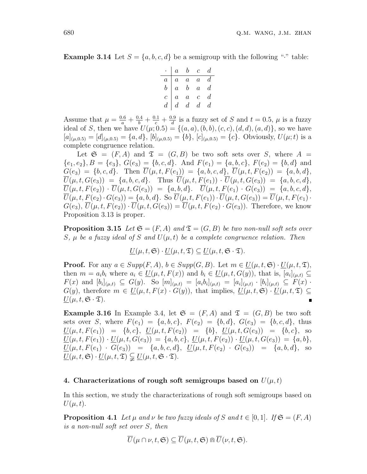**Example 3.14** Let  $S = \{a, b, c, d\}$  be a semigroup with the following "" table:

|                  | $\boldsymbol{a}$ | $\bm{b}$         | $\overline{c}$ | $\boldsymbol{d}$ |
|------------------|------------------|------------------|----------------|------------------|
| $\boldsymbol{a}$ | $\boldsymbol{a}$ | $\boldsymbol{a}$ | $\overline{a}$ | $\it d$          |
| $\boldsymbol{b}$ | $\overline{a}$   | $\boldsymbol{b}$ | $\overline{a}$ | $\boldsymbol{d}$ |
| $\overline{c}$   | $\overline{a}$   | $\overline{a}$   | $\overline{c}$ | d                |
| $\overline{d}$   | $\boldsymbol{d}$ | $\boldsymbol{d}$ | $d_{-}$        | d                |

Assume that  $\mu = \frac{0.6}{a} + \frac{0.4}{b} + \frac{0.1}{c} + \frac{0.9}{d}$  $\frac{d}{dt}$  is a fuzzy set of *S* and  $t = 0.5$ ,  $\mu$  is a fuzzy ideal of *S*, then we have  $U(\mu; 0.5) = \{(a, a), (b, b), (c, c), (d, d), (a, d)\}$ , so we have  $[a]_{(\mu,0.5)} = [d]_{(\mu,0.5)} = \{a,d\}, [b]_{(\mu,0.5)} = \{b\}, [c]_{(\mu,0.5)} = \{c\}.$  Obviously,  $U(\mu; t)$  is a complete congruence relation.

Let  $\mathfrak{S} = (F, A)$  and  $\mathfrak{T} = (G, B)$  be two soft sets over *S*, where  $A =$  $\{e_1, e_2\}, B = \{e_3\}, G(e_3) = \{b, c, d\}.$  And  $F(e_1) = \{a, b, c\}, F(e_2) = \{b, d\}$  and  $G(e_3) = \{b, c, d\}$ . Then  $\overline{U}(\mu, t, F(e_1)) = \{a, b, c, d\}$ ,  $\overline{U}(\mu, t, F(e_2)) = \{a, b, d\}$ ,  $\overline{U}(\mu, t, G(e_3)) = \{a, b, c, d\}$ . Thus  $\overline{U}(\mu, t, F(e_1)) \cdot \overline{U}(\mu, t, G(e_3)) = \{a, b, c, d\}$ ,  $\overline{U}(\mu, t, F(e_2)) \cdot \overline{U}(\mu, t, G(e_3)) = \{a, b, d\}.$   $\overline{U}(\mu, t, F(e_1) \cdot G(e_3)) = \{a, b, c, d\},$  $\overline{U}(\mu, t, F(e_2) \cdot G(e_3)) = \{a, b, d\}.$  So  $\overline{U}(\mu, t, F(e_1)) \cdot \overline{U}(\mu, t, G(e_3)) = \overline{U}(\mu, t, F(e_1))$  $G(e_3), \overline{U}(\mu, t, F(e_2)) \cdot \overline{U}(\mu, t, G(e_3)) = \overline{U}(\mu, t, F(e_2) \cdot G(e_3)).$  Therefore, we know Proposition 3.13 is proper.

**Proposition 3.15** *Let*  $\mathfrak{S} = (F, A)$  *and*  $\mathfrak{T} = (G, B)$  *be two non-null soft sets over S*,  $\mu$  *be a fuzzy ideal of S and*  $U(\mu, t)$  *be a complete congruence relation. Then* 

$$
\underline{U}(\mu, t, \mathfrak{S}) \cdot \underline{U}(\mu, t, \mathfrak{T}) \subseteq \underline{U}(\mu, t, \mathfrak{S} \cdot \mathfrak{T}).
$$

**Proof.** For any  $a \in Supp(F, A), b \in Supp(G, B)$ . Let  $m \in U(\mu, t, \mathfrak{S}) \cdot U(\mu, t, \mathfrak{T})$ , then  $m = a_i b_i$  where  $a_i \in \underline{U}(\mu, t, F(x))$  and  $b_i \in \underline{U}(\mu, t, G(y))$ , that is,  $[a_i]_{(\mu, t)} \subseteq$  $F(x)$  and  $[b_i]_{(\mu,t)} \subseteq G(y)$ . So  $[m]_{(\mu,t)} = [a_i b_i]_{(\mu,t)} = [a_i]_{(\mu,t)} \cdot [b_i]_{(\mu,t)} \subseteq F(x)$ . *G*(*y*), therefore  $m \in \underline{U}(\mu, t, F(x) \cdot G(y))$ , that implies,  $\underline{U}(\mu, t, \mathfrak{S}) \cdot \underline{U}(\mu, t, \mathfrak{D}) \subseteq$  $U(\mu, t, \mathfrak{S} \cdot \mathfrak{T}).$ 

**Example 3.16** In Example 3.4, let  $\mathfrak{S} = (F, A)$  and  $\mathfrak{T} = (G, B)$  be two soft sets over *S*, where  $F(e_1) = \{a, b, c\}$ ,  $F(e_2) = \{b, d\}$ ,  $G(e_3) = \{b, c, d\}$ , thus  $U(\mu, t, F(e_1)) = \{b, c\}, \ U(\mu, t, F(e_2)) = \{b\}, \ U(\mu, t, G(e_3)) = \{b, c\}, \text{ so}$  $\underline{U}(\mu, t, F(e_1)) \cdot \underline{U}(\mu, t, G(e_3)) = \{a, b, c\}, \ \underline{U}(\mu, t, F(e_2)) \cdot \underline{U}(\mu, t, G(e_3)) = \{a, b\},\$  $U(\mu, t, F(e_1) \cdot G(e_3)) = \{a, b, c, d\}, \quad U(\mu, t, F(e_2) \cdot G(e_3)) = \{a, b, d\}, \quad \text{so}$  $\underline{U}(\mu, t, \mathfrak{S}) \cdot \underline{U}(\mu, t, \mathfrak{T}) \subsetneq \underline{U}(\mu, t, \mathfrak{S} \cdot \mathfrak{T}).$ 

#### **4. Characterizations of rough soft semigroups based on**  $U(\mu, t)$

In this section, we study the characterizations of rough soft semigroups based on  $U(\mu, t)$ .

**Proposition 4.1** *Let*  $\mu$  *and*  $\nu$  *be two fuzzy ideals of*  $S$  *and*  $t \in [0, 1]$ *.* If  $\mathfrak{S} = (F, A)$ *is a non-null soft set over S, then*

$$
\overline{U}(\mu \cap \nu, t, \mathfrak{S}) \subseteq \overline{U}(\mu, t, \mathfrak{S}) \cap \overline{U}(\nu, t, \mathfrak{S}).
$$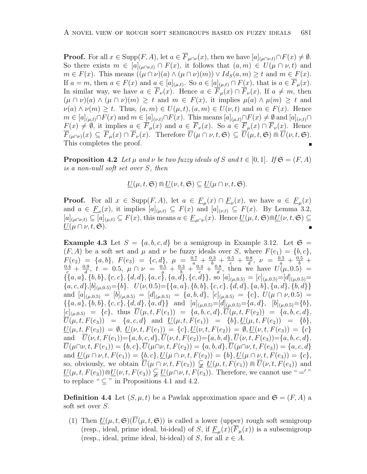**Proof.** For all  $x \in \text{Supp}(F, A)$ , let  $a \in \overline{F}_{\mu \cap \nu}(x)$ , then we have  $[a]_{(\mu \cap \nu, t)} \cap F(x) \neq \emptyset$ . So there exists  $m \in [a]_{(\mu \cap \nu,t)} \cap F(x)$ , it follows that  $(a,m) \in U(\mu \cap \nu,t)$  and  $m \in F(x)$ . This means  $((\mu \cap \nu)(a) \wedge (\mu \cap \nu)(m)) \vee Id_S(a,m) \geq t$  and  $m \in F(x)$ . If  $a = m$ , then  $a \in F(x)$  and  $a \in [a]_{(\mu,t)}$ . So  $a \in [a]_{(\mu,t)} \cap F(x)$ , that is  $a \in \overline{F}_{\mu}(x)$ . In similar way, we have  $a \in \overline{F}_\nu(x)$ . Hence  $a \in \overline{F}_\mu(x) \cap \overline{F}_\nu(x)$ . If  $a \neq m$ , then  $(\mu \cap \nu)(a) \wedge (\mu \cap \nu)(m) \geq t$  and  $m \in F(x)$ , it implies  $\mu(a) \wedge \mu(m) \geq t$  and  $\nu(a) \wedge \nu(m) \geq t$ . Thus,  $(a, m) \in U(\mu, t), (a, m) \in U(\nu, t)$  and  $m \in F(x)$ . Hence  $m \in [a]_{(\mu,t)} \cap F(x)$  and  $m \in [a]_{(\nu,t)} \cap F(x)$ . This means  $[a]_{(\mu,t)} \cap F(x) \neq \emptyset$  and  $[a]_{(\nu,t)} \cap F(x)$  $\underline{F}(x) \neq \emptyset$ , it implies  $\underline{a} \in \overline{F}_{\mu}(x)$  and  $a \in \overline{F}_{\nu}(x)$ . So  $a \in \overline{F}_{\mu}(x) \cap \overline{F}_{\nu}(x)$ . Hence  $\overline{F}_{(\mu\cap\nu)}(x) \subseteq \overline{F}_{\mu}(x) \cap \overline{F}_{\nu}(x)$ . Therefore  $\overline{U}(\mu \cap \nu, t, \mathfrak{S}) \subseteq \overline{U}(\mu, t, \mathfrak{S}) \cap \overline{U}(\nu, t, \mathfrak{S})$ . This completes the proof.

**Proposition 4.2** *Let*  $\mu$  *and*  $\nu$  *be two fuzzy ideals of*  $S$  *and*  $t \in [0,1]$ *. If*  $\mathfrak{S} = (F, A)$ *is a non-null soft set over S, then*

$$
\underline{U}(\mu, t, \mathfrak{S}) \cap \underline{U}(\nu, t, \mathfrak{S}) \subseteq \underline{U}(\mu \cap \nu, t, \mathfrak{S}).
$$

**Proof.** For all  $x \in \text{Supp}(F, A)$ , let  $a \in \underline{F}_{\mu}(x) \cap \underline{F}_{\nu}(x)$ , we have  $a \in \underline{F}_{\mu}(x)$ and  $a \in \underline{F}_{\nu}(x)$ , it implies  $[a]_{(\mu,t)} \subseteq F(x)$  and  $[a]_{(\nu,t)} \subseteq F(x)$ . By Lemma 3.2,  $[a]_{(\mu \cap \nu,t)} \subseteq [a]_{(\mu,t)} \subseteq F(x)$ , this means  $a \in \underline{F}_{\mu \cap \nu}(x)$ . Hence  $\underline{U}(\mu,t,\mathfrak{S}) \cap \underline{U}(\nu,t,\mathfrak{S}) \subseteq$  $\underline{U}(\mu \cap \nu, t, \mathfrak{S}).$ 

**Example 4.3** Let  $S = \{a, b, c, d\}$  be a semigroup in Example 3.12. Let  $\mathfrak{S} =$  $(F, A)$  be a soft set and  $\mu$  and  $\nu$  be fuzzy ideals over *S*, where  $F(e_1) = \{b, c\}$ ,  $F(e_2) = \{a, b\}, F(e_3) = \{c, d\}, \mu = \frac{0.7}{a} + \frac{0.3}{b} + \frac{0.5}{c} + \frac{0.8}{d}$  $F(e_2) = \{a, b\}, F(e_3) = \{c, d\}, \mu = \frac{0.7}{a} + \frac{0.3}{b} + \frac{0.5}{c} + \frac{0.8}{d}, \nu = \frac{0.5}{a} + \frac{0.5}{b} + \frac{0.6}{c} + \frac{0.9}{d}, \mu = 0.5, \mu \cap \nu = \frac{0.5}{a} + \frac{0.3}{b} + \frac{0.4}{c} + \frac{0.8}{d}, \text{ then we have } U(\mu, 0.5) =$  $\frac{0.9}{d}$ ,  $t = 0.5$ ,  $\mu \cap \nu = \frac{0.5}{a} + \frac{0.3}{b} + \frac{0.4}{c} + \frac{0.8}{d}$  $\frac{0.8}{d}$ , then we have  $U(\mu, 0.5)$  =  $\{[a, a], [b, b], \{c, c\}, \{d, d\}, \{a, c\}, \{a, d\}, \{c, d\}\}\$ , so  $[a]_{(\mu, 0.5)} = [c]_{(\mu, 0.5)} = [d]_{(\mu, 0.5)} =$  ${a, c, d}, [b]_{(\mu, 0.5)} = {b}. \quad U(\nu, 0.5) = {\{a, a\}, \{b, b\}, \{c, c\}, \{d, d\}, \{a, b\}, \{a, d\}, \{b, d\}}$ and  $[a]_{(\mu,0.5)} = [b]_{(\mu,0.5)} = [d]_{(\mu,0.5)} = \{a,b,d\}, [c]_{(\mu,0.5)} = \{c\}, U(\mu \cap \nu, 0.5) =$  $\{\{a,a\},\{b,b\},\{c,c\},\{d,d\},\{a,d\}\}\$ and  $[a]_{(\mu,0.5)}=[d]_{(\mu,0.5)}=[a,d], [b]_{(\mu,0.5)}=[b],$  $[C]_{(\mu,0.5)} = \{c\}$ , thus  $\overline{U}(\mu,t,F(e_1)) = \{a,b,c,d\}, \overline{U}(\mu,t,F(e_2)) = \{a,b,c,d\}$  $U(\mu, t, F(e_3)) = \{a, c, d\}$  and  $U(\mu, t, F(e_1)) = \{b\}, U(\mu, t, F(e_2)) = \{b\},\$  $\underline{U}(\mu, t, F(e_3)) = \emptyset$ ,  $\underline{U}(\nu, t, F(e_1)) = \{c\}, \underline{U}(\nu, t, F(e_2)) = \emptyset$ ,  $\underline{U}(\nu, t, F(e_3)) = \{c\}$ and  $\overline{U}(\nu, t, F(e_1)) = \{a, b, c, d\}, \overline{U}(\nu, t, F(e_2)) = \{a, b, d\}, \overline{U}(\nu, t, F(e_3)) = \{a, b, c, d\},\$  $\overline{U}(\mu \cap \nu, t, F(e_1)) = \{b, c\}, \overline{U}(\mu \cap \nu, t, F(e_2)) = \{a, b, d\}, \overline{U}(\mu \cap \nu, t, F(e_3)) = \{a, c, d\}$ and  $\underline{U}(\mu \cap \nu, t, F(e_1)) = \{b, c\}, \underline{U}(\mu \cap \nu, t, F(e_2)) = \{b\}, \underline{U}(\mu \cap \nu, t, F(e_3)) = \{c\},\$ so, obviously, we obtain  $\overline{U}(\mu \cap \nu, t, F(e_1)) \subsetneq \underline{U}(\mu, t, F(e_1)) \cap \overline{U}(\nu, t, F(e_1))$  and  $\underline{U}(\mu, t, F(e_3)) \cap \underline{U}(\nu, t, F(e_3)) \subsetneqq \underline{U}(\mu \cap \nu, t, F(e_3))$ . Therefore, we cannot use " =' " to replace "  $\subseteq$  " in Propositions 4.1 and 4.2.

**Definition 4.4** Let  $(S, \mu, t)$  be a Pawlak approximation space and  $\mathfrak{S} = (F, A)$  a soft set over *S*.

(1) Then  $U(\mu, t, \mathfrak{S})(U(\mu, t, \mathfrak{S}))$  is called a lower (upper) rough soft semigroup (resp., ideal, prime ideal, bi-ideal) of *S*, if  $\underline{F}_{\mu}(x)(F_{\mu}(x))$  is a subsemigroup (resp., ideal, prime ideal, bi-ideal) of *S*, for all  $x \in A$ .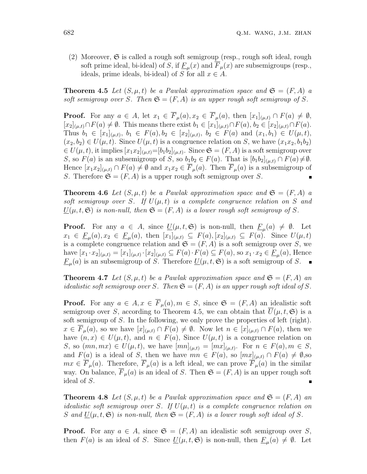(2) Moreover,  $\mathfrak S$  is called a rough soft semigroup (resp., rough soft ideal, rough soft prime ideal, bi-ideal) of *S*, if  $\underline{F}_{\mu}(x)$  and  $\overline{F}_{\mu}(x)$  are subsemigroups (resp., ideals, prime ideals, bi-ideal) of *S* for all  $x \in A$ .

**Theorem 4.5** Let  $(S, \mu, t)$  be a Pawlak approximation space and  $\mathfrak{S} = (F, A)$  a soft semigroup over *S*. Then  $\mathfrak{S} = (F, A)$  is an upper rough soft semigroup of *S*.

**Proof.** For any  $a \in A$ , let  $x_1 \in \overline{F}_{\mu}(a), x_2 \in \overline{F}_{\mu}(a)$ , then  $[x_1]_{(\mu,t)} \cap F(a) \neq \emptyset$ ,  $[x_2]_{(\mu,t)} \cap F(a) \neq \emptyset$ . This means there exist  $b_1 \in [x_1]_{(\mu,t)} \cap F(a), b_2 \in [x_2]_{(\mu,t)} \cap F(a)$ . Thus  $b_1 \in [x_1]_{(\mu,t)}, b_1 \in F(a), b_2 \in [x_2]_{(\mu,t)}, b_2 \in F(a)$  and  $(x_1, b_1) \in U(\mu, t),$  $(x_2, b_2) \in U(\mu, t)$ . Since  $U(\mu, t)$  is a congruence relation on *S*, we have  $(x_1x_2, b_1b_2)$  $\in U(\mu, t)$ , it implies  $[x_1x_2]_{(\mu, t)} = [b_1b_2]_{(\mu, t)}$ . Since  $\mathfrak{S} = (F, A)$  is a soft semigroup over *S*, so  $F(a)$  is an subsemigroup of *S*, so  $b_1b_2 \in F(a)$ . That is  $[b_1b_2]_{(\mu,t)} \cap F(a) \neq \emptyset$ . Hence  $[x_1x_2]_{(\mu,t)} \cap F(a) \neq \emptyset$  and  $x_1x_2 \in \overline{F}_{\mu}(a)$ . Then  $\overline{F}_{\mu}(a)$  is a subsemigroup of *S*. Therefore  $\mathfrak{S} = (F, A)$  is a upper rough soft semigroup over *S*.

**Theorem 4.6** Let  $(S, \mu, t)$  be a Pawlak approximation space and  $\mathfrak{S} = (F, A)$  a soft semigroup over *S*. If  $U(\mu, t)$  is a complete congruence relation on *S* and  $U(\mu, t, \mathfrak{S})$  *is non-null, then*  $\mathfrak{S} = (F, A)$  *is a lower rough soft semigroup of S.* 

**Proof.** For any  $a \in A$ , since  $\underline{U}(\mu, t, \mathfrak{S})$  is non-null, then  $\underline{F}_{\mu}(a) \neq \emptyset$ . Let  $x_1 \in \underline{F}_{\mu}(a), x_2 \in \underline{F}_{\mu}(a),$  then  $[x_1]_{(\mu,t)} \subseteq F(a), [x_2]_{(\mu,t)} \subseteq F(a).$  Since  $U(\mu, t)$ is a complete congruence relation and  $\mathfrak{S} = (F, A)$  is a soft semigroup over *S*, we have  $[x_1 \cdot x_2]_{(\mu,t)} = [x_1]_{(\mu,t)} \cdot [x_2]_{(\mu,t)} \subseteq F(a) \cdot F(a) \subseteq F(a)$ , so  $x_1 \cdot x_2 \in \underline{F}_{\mu}(a)$ , Hence  $\underline{F}_{\mu}(a)$  is an subsemigroup of *S*. Therefore  $\underline{U}(\mu, t, \mathfrak{S})$  is a soft semigroup of *S*.

**Theorem 4.7** Let  $(S, \mu, t)$  be a Pawlak approximation space and  $\mathfrak{S} = (F, A)$  and *idealistic soft semigroup over S.* Then  $\mathfrak{S} = (F, A)$  *is an upper rough soft ideal of S.* 

**Proof.** For any  $a \in A$ ,  $x \in \overline{F}_\mu(a)$ ,  $m \in S$ , since  $\mathfrak{S} = (F, A)$  an idealistic soft semigroup over *S*, according to Theorem 4.5, we can obtain that  $U(\mu, t, \mathfrak{S})$  is a soft semigroup of *S*. In the following, we only prove the properties of left (right). *x* ∈  $\overline{F}_{\mu}(a)$ , so we have  $[x]_{(\mu,t)} \cap F(a) \neq \emptyset$ . Now let  $n \in [x]_{(\mu,t)} \cap F(a)$ , then we have  $(n, x) \in U(\mu, t)$ , and  $n \in F(a)$ , Since  $U(\mu, t)$  is a congruence relation on *S*, so  $(mn, mx) \in U(\mu, t)$ , we have  $[mn]_{(\mu, t)} = [mx]_{(\mu, t)}$ . For  $n \in F(a), m \in S$ , and  $F(a)$  is a ideal of *S*, then we have  $mn \in F(a)$ , so  $[mx]_{(\mu,t)} \cap F(a) \neq \emptyset$ , so  $mx \in \overline{F}_\mu(a)$ . Therefore,  $\overline{F}_\mu(a)$  is a left ideal, we can prove  $\overline{F}_\mu(a)$  in the similar way. On balance,  $\overline{F}_{\mu}(a)$  is an ideal of *S*. Then  $\mathfrak{S} = (F, A)$  is an upper rough soft ideal of *S*.

**Theorem 4.8** Let  $(S, \mu, t)$  be a Pawlak approximation space and  $\mathfrak{S} = (F, A)$  and *idealistic soft semigroup over S. If*  $U(\mu, t)$  *is a complete congruence relation on S* and  $\underline{U}(\mu, t, \mathfrak{S})$  *is non-null, then*  $\mathfrak{S} = (F, A)$  *is a lower rough soft ideal of S.* 

**Proof.** For any  $a \in A$ , since  $\mathfrak{S} = (F, A)$  an idealistic soft semigroup over *S*, then  $F(a)$  is an ideal of *S*. Since  $\underline{U}(\mu, t, \mathfrak{S})$  is non-null, then  $\underline{F}_{\mu}(a) \neq \emptyset$ . Let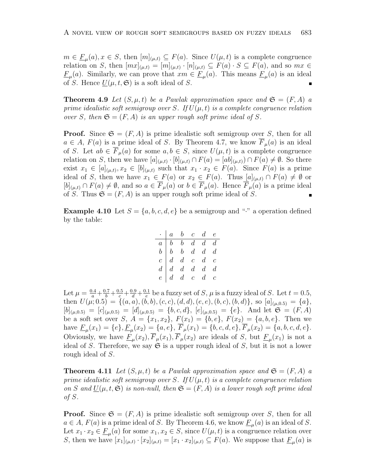$m \in \underline{F}_{\mu}(a), x \in S$ , then  $[m]_{(\mu,t)} \subseteq F(a)$ . Since  $U(\mu, t)$  is a complete congruence relation on *S*, then  $[mx]_{(\mu,t)} = [m]_{(\mu,t)} \cdot [n]_{(\mu,t)} \subseteq F(a) \cdot S \subseteq F(a)$ , and so  $mx \in$ *F<sub>µ</sub>*(*a*). Similarly, we can prove that  $xm \in F_{\mu}(a)$ . This means  $F_{\mu}(a)$  is an ideal of *S*. Hence  $\underline{U}(\mu, t, \mathfrak{S})$  is a soft ideal of *S*.

**Theorem 4.9** Let  $(S, \mu, t)$  be a Pawlak approximation space and  $\mathfrak{S} = (F, A)$  a *prime idealistic soft semigroup over S. If*  $U(\mu, t)$  *is a complete congruence relation over S, then*  $\mathfrak{S} = (F, A)$  *is an upper rough soft prime ideal of S.* 

**Proof.** Since  $\mathfrak{S} = (F, A)$  is prime idealistic soft semigroup over *S*, then for all  $a \in A$ ,  $F(a)$  is a prime ideal of *S*. By Theorem 4.7, we know  $\overline{F}_{\mu}(a)$  is an ideal of *S*. Let  $ab \in \overline{F}_{\mu}(a)$  for some  $a, b \in S$ , since  $U(\mu, t)$  is a complete congruence relation on *S*, then we have  $[a]_{(\mu,t)} \cdot [b]_{(\mu,t)} \cap F(a) = [ab]_{(\mu,t)} \cap F(a) \neq \emptyset$ . So there exist  $x_1 \in [a]_{(\mu,t)}, x_2 \in [b]_{(\mu,t)}$  such that  $x_1 \cdot x_2 \in F(a)$ . Since  $F(a)$  is a prime ideal of *S*, then we have  $x_1 \in F(a)$  or  $x_2 \in F(a)$ . Thus  $[a]_{(\mu,t)} \cap F(a) \neq \emptyset$  or  $[b]_{(\mu,t)} \cap F(a) \neq \emptyset$ , and so  $a \in \overline{F}_{\mu}(a)$  or  $b \in \overline{F}_{\mu}(a)$ . Hence  $\overline{F}_{\mu}(a)$  is a prime ideal of *S*. Thus  $\mathfrak{S} = (F, A)$  is an upper rough soft prime ideal of *S*.

**Example 4.10** Let  $S = \{a, b, c, d, e\}$  be a semigroup and "<sup>*\**</sup>" a operation defined by the table:

|  |  | $\cdot$   a b c d e                                                                                                                                                                     |  |
|--|--|-----------------------------------------------------------------------------------------------------------------------------------------------------------------------------------------|--|
|  |  |                                                                                                                                                                                         |  |
|  |  | $\begin{array}{c cccccc} a & b & b & d & d & d & d \\ b & b & b & d & d & d & d \\ c & d & d & c & d & c & d \\ d & d & d & d & d & d & d \\ e & d & d & c & d & c & d & c \end{array}$ |  |
|  |  |                                                                                                                                                                                         |  |
|  |  |                                                                                                                                                                                         |  |
|  |  |                                                                                                                                                                                         |  |

Let  $\mu = \frac{0.4}{a} + \frac{0.7}{b} + \frac{0.5}{c} + \frac{0.9}{d} + \frac{0.1}{e}$  $\frac{d}{e}$  be a fuzzy set of *S*,  $\mu$  is a fuzzy ideal of *S*. Let  $t = 0.5$ , then  $U(\mu; 0.5) = \{(a, a), (b, b), (c, c), (d, d), (e, e), (b, c), (b, d)\}\$ , so  $[a]_{(\mu, 0.5)} = \{a\},\$  $[b]_{(\mu,0.5)} = [c]_{(\mu,0.5)} = [d]_{(\mu,0.5)} = \{b, c, d\}, [e]_{(\mu,0.5)} = \{e\}.$  And let  $\mathfrak{S} = (F, A)$ be a soft set over *S*,  $A = \{x_1, x_2\}$ ,  $F(x_1) = \{b, e\}$ ,  $F(x_2) = \{a, b, e\}$ . Then we have  $\underline{F}_{\mu}(x_1) = \{e\}, \underline{F}_{\mu}(x_2) = \{a, e\}, F_{\mu}(x_1) = \{b, c, d, e\}, F_{\mu}(x_2) = \{a, b, c, d, e\}.$ Obviously, we have  $\underline{F}_{\mu}(x_2), F_{\mu}(x_1), F_{\mu}(x_2)$  are ideals of *S*, but  $\underline{F}_{\mu}(x_1)$  is not a ideal of *S*. Therefore, we say  $\mathfrak{S}$  is a upper rough ideal of *S*, but it is not a lower rough ideal of *S*.

**Theorem 4.11** Let  $(S, \mu, t)$  be a Pawlak approximation space and  $\mathfrak{S} = (F, A)$  a *prime idealistic soft semigroup over*  $S$ *. If*  $U(\mu, t)$  *is a complete congruence relation on S* and  $U(\mu, t, \mathfrak{S})$  *is non-null, then*  $\mathfrak{S} = (F, A)$  *is a lower rough soft prime ideal of S.*

**Proof.** Since  $\mathfrak{S} = (F, A)$  is prime idealistic soft semigroup over *S*, then for all  $a \in A$ ,  $F(a)$  is a prime ideal of *S*. By Theorem 4.6, we know  $\underline{F}_{\mu}(a)$  is an ideal of *S*. Let  $x_1 \cdot x_2 \in \underline{F}_{\mu}(a)$  for some  $x_1, x_2 \in S$ , since  $U(\mu, t)$  is a congruence relation over *S*, then we have  $[x_1]_{(\mu,t)} \cdot [x_2]_{(\mu,t)} = [x_1 \cdot x_2]_{(\mu,t)} \subseteq F(a)$ . We suppose that  $\underline{F}_{\mu}(a)$  is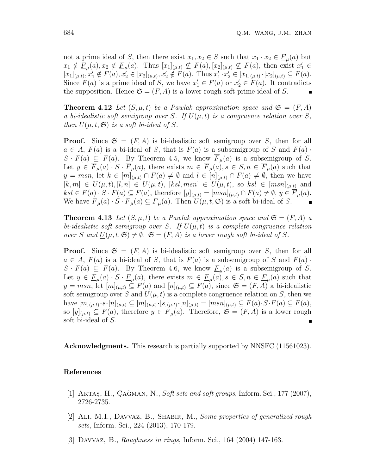not a prime ideal of *S*, then there exist  $x_1, x_2 \in S$  such that  $x_1 \cdot x_2 \in \underline{F}_{\mu}(a)$  but  $x_1 \notin \underline{F}_{\mu}(a), x_2 \notin \underline{F}_{\mu}(a)$ . Thus  $[x_1]_{(\mu,t)} \nsubseteq F(a), [x_2]_{(\mu,t)} \nsubseteq F(a)$ , then exist  $x_1 \in$  $[x_1]_{(\mu,t)}, x'_1 \notin F(a), x'_2 \in [x_2]_{(\mu,t)}, x'_2 \notin F(a).$  Thus  $x'_1 \cdot x'_2 \in [x_1]_{(\mu,t)} \cdot [x_2]_{(\mu,t)} \subseteq F(a).$ Since  $F(a)$  is a prime ideal of *S*, we have  $x'_{1} \in F(a)$  or  $x'_{2} \in F(a)$ . It contradicts the supposition. Hence  $\mathfrak{S} = (F, A)$  is a lower rough soft prime ideal of S.

**Theorem 4.12** Let  $(S, \mu, t)$  be a Pawlak approximation space and  $\mathfrak{S} = (F, A)$ *a bi-idealistic soft semigroup over S. If*  $U(\mu, t)$  *is a congruence relation over S, then*  $\overline{U}(\mu, t, \mathfrak{S})$  *is a soft bi-ideal of S.* 

**Proof.** Since  $\mathfrak{S} = (F, A)$  is bi-idealistic soft semigroup over *S*, then for all  $a \in A$ ,  $F(a)$  is a bi-ideal of *S*, that is  $F(a)$  is a subsemigroup of *S* and  $F(a)$  *·*  $S \cdot F(a) \subseteq F(a)$ . By Theorem 4.5, we know  $\overline{F}_{\mu}(a)$  is a subsemigroup of *S*. Let  $y \in \overline{F}_{\mu}(a) \cdot S \cdot \overline{F}_{\mu}(a)$ , there exists  $m \in \overline{F}_{\mu}(a), s \in S, n \in \overline{F}_{\mu}(a)$  such that *y* = *msn*, let  $k \in [m]_{(\mu,t)} \cap F(a) \neq \emptyset$  and  $l \in [n]_{(\mu,t)} \cap F(a) \neq \emptyset$ , then we have  $[k, m] \in U(\mu, t), [l, n] \in U(\mu, t), [ksl, msn] \in U(\mu, t),$  so  $ksl \in [msn]_{(\mu, t)}$  and  $ksl \in F(a) \cdot S \cdot F(a) \subseteq F(a)$ , therefore  $[y]_{(\mu,t)} = [msn]_{(\mu,t)} \cap F(a) \neq \emptyset$ ,  $y \in \overline{F}_{\mu}(a)$ . We have  $\overline{F}_{\mu}(a) \cdot S \cdot \overline{F}_{\mu}(a) \subseteq \overline{F}_{\mu}(a)$ . Then  $\overline{U}(\mu, t, \mathfrak{S})$  is a soft bi-ideal of *S*.

**Theorem 4.13** Let  $(S, \mu, t)$  be a Pawlak approximation space and  $\mathfrak{S} = (F, A)$  a *bi-idealistic soft semigroup over S. If*  $U(\mu, t)$  *is a complete congruence relation over S* and  $U(\mu, t, \mathfrak{S}) \neq \emptyset$ .  $\mathfrak{S} = (F, A)$  is a lower rough soft bi-ideal of *S*.

**Proof.** Since  $\mathfrak{S} = (F, A)$  is bi-idealistic soft semigroup over *S*, then for all  $a \in A$ ,  $F(a)$  is a bi-ideal of *S*, that is  $F(a)$  is a subsemigroup of *S* and  $F(a)$  *·*  $S \cdot F(a) \subseteq F(a)$ . By Theorem 4.6, we know  $\underline{F}_{\mu}(a)$  is a subsemigroup of *S*. Let  $y \in \underline{F}_{\mu}(a) \cdot S \cdot \underline{F}_{\mu}(a)$ , there exists  $m \in \underline{F}_{\mu}(a), s \in S, n \in \underline{F}_{\mu}(a)$  such that *y* = *msn*, let  $[m]_{(\mu,t)}$  ⊆  $F(a)$  and  $[n]_{(\mu,t)}$  ⊆  $F(a)$ , since  $\mathfrak{S} = (F, A)$  a bi-idealistic soft semigroup over *S* and  $U(\mu, t)$  is a complete congruence relation on *S*, then we have  $[m]_{(\mu,t)} \cdot s \cdot [n]_{(\mu,t)} \subseteq [m]_{(\mu,t)} \cdot [s]_{(\mu,t)} \cdot [n]_{(\mu,t)} = [msn]_{(\mu,t)} \subseteq F(a) \cdot S \cdot F(a) \subseteq F(a),$ so  $[y]_{(\mu,t)} \subseteq F(a)$ , therefore  $y \in \underline{F}_{\mu}(a)$ . Therefore,  $\mathfrak{S} = (F, A)$  is a lower rough soft bi-ideal of *S*.

**Acknowledgments.** This research is partially supported by NNSFC (11561023).

### **References**

- [1] AKTAS, H., CAĞMAN, N., *Soft sets and soft groups*, Inform. Sci., 177 (2007), 2726-2735.
- [2] Ali, M.I., Davvaz, B., Shabir, M., *Some properties of generalized rough sets*, Inform. Sci., 224 (2013), 170-179.
- [3] Davvaz, B., *Roughness in rings*, Inform. Sci., 164 (2004) 147-163.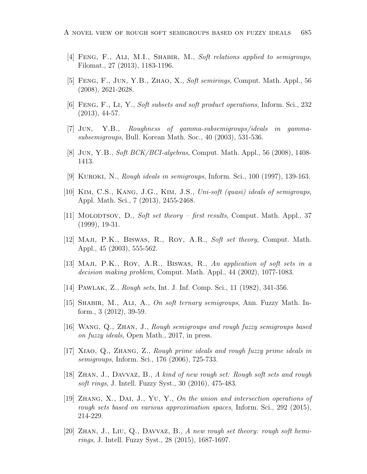- [4] Feng, F., Ali, M.I., Shabir, M., *Soft relations applied to semigroups*, Filomat., 27 (2013), 1183-1196.
- [5] Feng, F., Jun, Y.B., Zhao, X., *Soft semirings*, Comput. Math. Appl., 56 (2008), 2621-2628.
- [6] Feng, F., Li, Y., *Soft subsets and soft product operations*, Inform. Sci., 232 (2013), 44-57.
- [7] Jun, Y.B., *Roughness of gamma-subsemigroups/ideals in gammasubsemigroups*, Bull. Korean Math. Soc., 40 (2003), 531-536.
- [8] Jun, Y.B., *Soft BCK/BCI-algebras*, Comput. Math. Appl., 56 (2008), 1408- 1413.
- [9] Kuroki, N., *Rough ideals in semigroups*, Inform. Sci., 100 (1997), 139-163.
- [10] Kim, C.S., Kang, J.G., Kim, J.S., *Uni-soft (quasi) ideals of semigroups*, Appl. Math. Sci., 7 (2013), 2455-2468.
- [11] Molodtsov, D., *Soft set theory first results*, Comput. Math. Appl., 37 (1999), 19-31.
- [12] Maji, P.K., Biswas, R., Roy, A.R., *Soft set theory*, Comput. Math. Appl., 45 (2003), 555-562.
- [13] Maji, P.K., Roy, A.R., Biswas, R., *An application of soft sets in a decision making problem*, Comput. Math. Appl., 44 (2002), 1077-1083.
- [14] Pawlak, Z., *Rough sets*, Int. J. Inf. Comp. Sci., 11 (1982), 341-356.
- [15] Shabir, M., Ali, A., *On soft ternary semigroups*, Ann. Fuzzy Math. Inform., 3 (2012), 39-59.
- [16] Wang, Q., Zhan, J., *Rough semigroups and rough fuzzy semigroups based on fuzzy ideals*, Open Math., 2017, in press.
- [17] Xiao, Q., Zhang, Z., *Rough prime ideals and rough fuzzy prime ideals in semigroups*, Inform. Sci., 176 (2006), 725-733.
- [18] Zhan, J., Davvaz, B., *A kind of new rough set: Rough soft sets and rough soft rings*, J. Intell. Fuzzy Syst., 30 (2016), 475-483.
- [19] Zhang, X., Dai, J., Yu, Y., *On the union and intersection operations of rough sets based on various approximation spaces*, Inform. Sci., 292 (2015), 214-229.
- [20] Zhan, J., Liu, Q., Davvaz, B., *A new rough set theory: rough soft hemirings*, J. Intell. Fuzzy Syst., 28 (2015), 1687-1697.